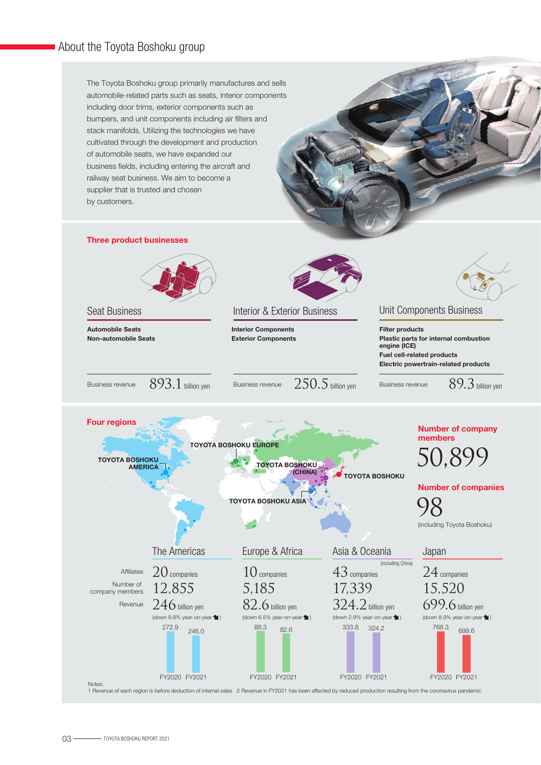The Toyota Boshoku group primarily manufactures and sells automobile-related parts such as seats, interior components including door trims, exterior components such as bumpers, and unit components including air filters and stack manifolds. Utilizing the technologies we have cultivated through the development and production of automobile seats, we have expanded our business fields, including entering the aircraft and railway seat business. We aim to become a supplier that is trusted and chosen by customers.



1 Revenue of each region is before deduction of internal sales 2 Revenue in FY2021 has been affected by reduced production resulting from the coronavirus pandemic